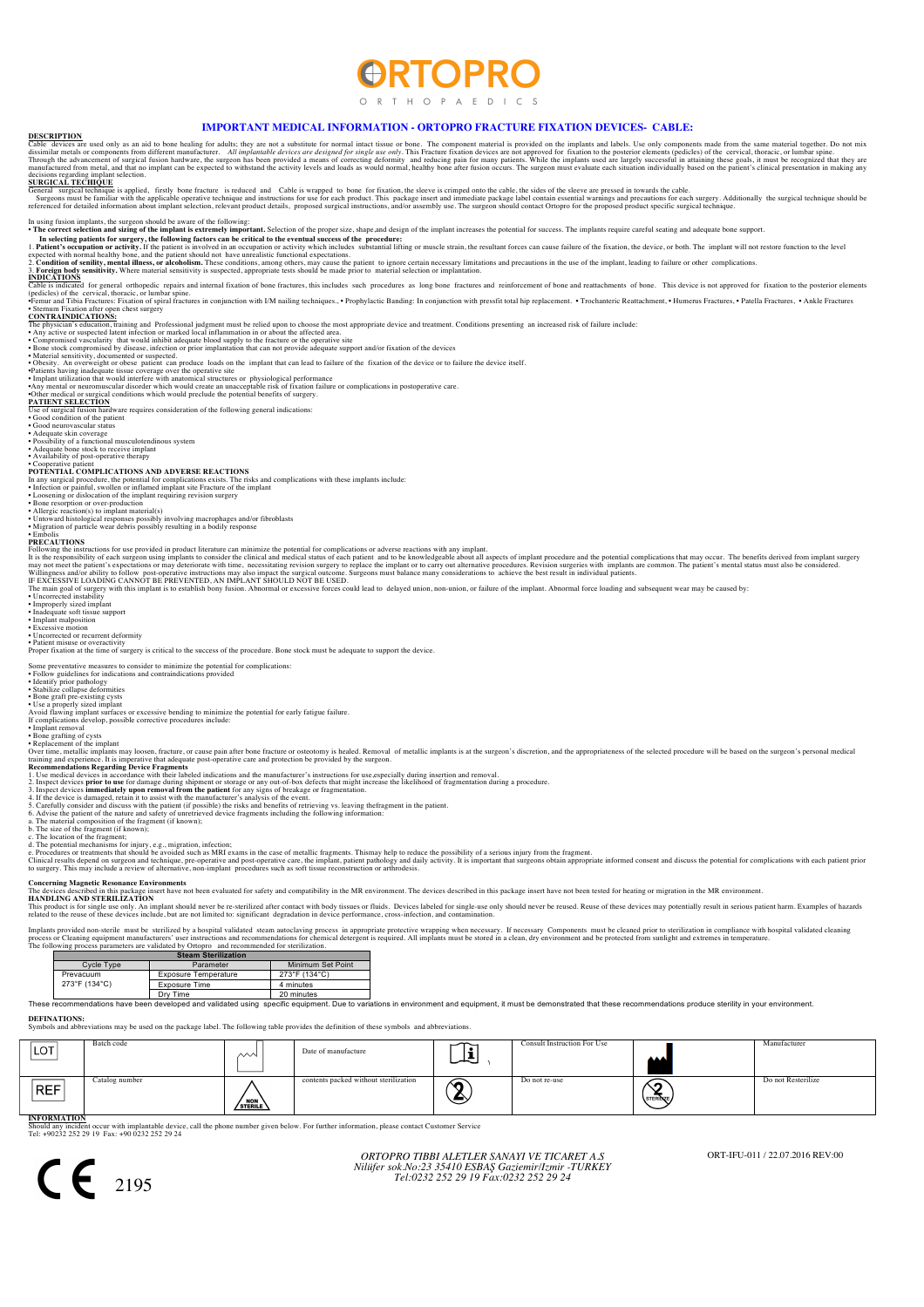# **ORTOPRO**

ORTH OP A F D I C S

## **IMPORTANT MEDICAL INFORMATION - ORTOPRO FRACTURE FIXATION DEVICES- CABLE: DESCRIPTION**

Cable devices are used only as a nail of bone healing for adults; they are not a substitute for normal interest mediate issue or bone. The compent material si provided on the posterior elements (pedicles) of the cervical,

## decisions regarding implant selection. **SURGICAL TECHIQUE**

General surgical technique is applied, firstly bone fracture is reduced and Cable is wrapped to bone for fixation, the sleeve is crimped onto the cable, the sides of the sleeve are pressed in towards the cable. Shall tiona

In suis mission implans, the surgens should be aware of the following the animal functions of the proper size, shape and design of the implant increases the potential for success. The implant sequite careful sening mission

• Guerrandical or surgical conditions winch would provide a  $\frac{\text{PATH}}{\text{PATH}}$  of the medical fusion hardware requires consideration of the following general indications<br>  $\frac{\text{Gose of surjeal fusion hardware requires consideration of the following general indications}$ <br>  $\frac{\text{Gode onodition of the patient}}{\text{Gode oneniproscular status}}$ 

• Good neurovascular status<br>• Adequate skin coverage<br>• Adequate bone stock to receive implant<br>• Adequate bone stock to receive implant<br>• Availability of post-operative therapy<br>• Cooperative patient

**POTENTIAL COMPLICATIONS AND ADVERSE REACTIONS**<br>In any surgical procedure, the potential for complications exists. The risks and complications with these implants include:<br> **In any surgical procedure**, the potential for co

PRECAUTIONS<br>The districtions for use provided in product literature can minimize the potential for complications or adverse reactions with any implant.<br>It is the responsibility of each surge implants to consider the clinic

AN IMPLANT SHOULD NOT BE USED.<br>2ny fusion. Abnormal or excessive forces could lead to delayed union, non-union, or failure of the implant. Abnormal force loading and subsequent wear may be caused by:

• Uncorrected instability • Improperly sized implant • Inadequate soft tissue support

• Implant malposition • Excessive motion • Uncorrected or recurrent deformity • Patient misuse or overactivity

Proper fixation at the time of surgery is critical to the success of the procedure. Bone stock must be adequate to support the device.

## Some preventative measures to consider to minimize the potential for complications<br>• Follow guidelines for indications and contraindications provided

• Follow guidelines for indications and contraindications provided<br>• Identify prior pathology<br>• Stabilize collapse deformities<br>• Done graft pre-existing cysts<br>• Use a properly sized implant<br>• Use a properly sized implant<br>

• Implant removal • Bone grafting of cysts

\* Replacement of the implant<br>
Nove time, metallic implants may loosen, fracture, or cause pain after bone fracture or osteotomy is healed. Removal of metallic implants is at the surgeon's discretion, and the appropriatenes

### **Concerning Magnetic Resonance Environ**

The devices described in this package insert have not been evaluated for safety and compatibility in the MR environment. The devices described in this package insert have not been tested for heating or migration in the MR

HANDLING AND STERILIZATION<br>This product is for single use only. An implant should never be re-sterilized after contact with body tissues or fluids. Devices labeled for single-use only should never be reused. Reuse of these

Implants provided non-sterile must be sterilized by a hospital validated steam autoclaving process in appropriate protective wrapping when necessary. If necessary Components must be cleaned prior to sterilization in compli

|  | $\alpha$ and $\beta$ process parameters are randaled by $\beta$ rtopro- and recommended for stemmation. |                             |                   |  |  |  |  |
|--|---------------------------------------------------------------------------------------------------------|-----------------------------|-------------------|--|--|--|--|
|  | <b>Steam Sterilization</b>                                                                              |                             |                   |  |  |  |  |
|  | Cycle Type                                                                                              | Parameter                   | Minimum Set Point |  |  |  |  |
|  | Prevacuum<br>273°F (134°C)                                                                              | <b>Exposure Temperature</b> | 273°F (134°C)     |  |  |  |  |
|  |                                                                                                         | Exposure Time               | 4 minutes         |  |  |  |  |
|  |                                                                                                         | Dry Time                    | 20 minutes        |  |  |  |  |

Dry Time 20 minutes 20 minutes and providence in the set of the set of the set of the set of the set of the set of the set of the set of the set of the set of the set of the set of the set orgipment. These recommendations

**DEFINATIONS:** Symbols and abbreviations may be used on the package label. The following table provides the definition of these symbols and abbreviations.

| LOT'       | Batch code     | ∼∿                           | Date of manufacture                   | ∽ | Consult Instruction For Use | AAA           | Manufacturer       |
|------------|----------------|------------------------------|---------------------------------------|---|-----------------------------|---------------|--------------------|
| <b>REF</b> | Catalog number | $\sqrt{\frac{NON}{STERILE}}$ | contents packed without sterilization | ‴ | Do not re-use               | Ő<br>STERINZE | Do not Resterilize |

**INFORMATION**<br>Should any incident occur with implantable device, call the phone number given below. For further information, please contact Customer Service<br>Tel: +90232 252 29 19 Fax: +90 0232 252 29 24

*ORTOPRO TIBBI ALETLER SANAYI VE TICARET A.S Nilüfer sok.No:23 35410 ESBAŞ Gaziemir/Izmir -TURKEY Tel:0232 252 29 19 Fax:0232 252 29 24* 2195 ORT-IFU-011 / 22.07.2016 REV:00